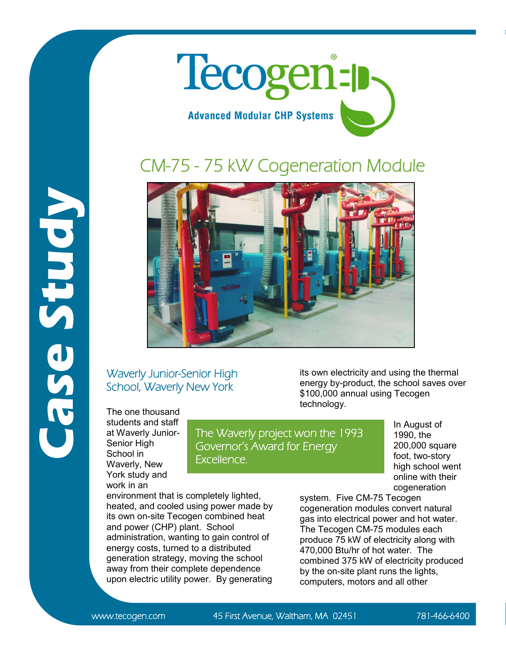

## CM-75 - 75 kW Cogeneration Module



## Waverly Junior-Senior High School, Waverly New York

The one thousand students and staff at Waverly Junior-Senior High School in Waverly, New York study and work in an

**Case Study**

The Waverly project won the 1993 Governor's Award for Energy Excellence.

its own electricity and using the thermal energy by-product, the school saves over \$100,000 annual using Tecogen technology.

> In August of 1990, the 200,000 square foot, two-story high school went online with their cogeneration

environment that is completely lighted, heated, and cooled using power made by its own on-site Tecogen combined heat and power (CHP) plant. School administration, wanting to gain control of energy costs, turned to a distributed generation strategy, moving the school away from their complete dependence upon electric utility power. By generating

system. Five CM-75 Tecogen cogeneration modules convert natural gas into electrical power and hot water. The Tecogen CM-75 modules each produce 75 kW of electricity along with 470,000 Btu/hr of hot water. The combined 375 kW of electricity produced by the on-site plant runs the lights, computers, motors and all other

www.tecogen.com 45 First Avenue, Waltham, MA 02451 781-466-6400